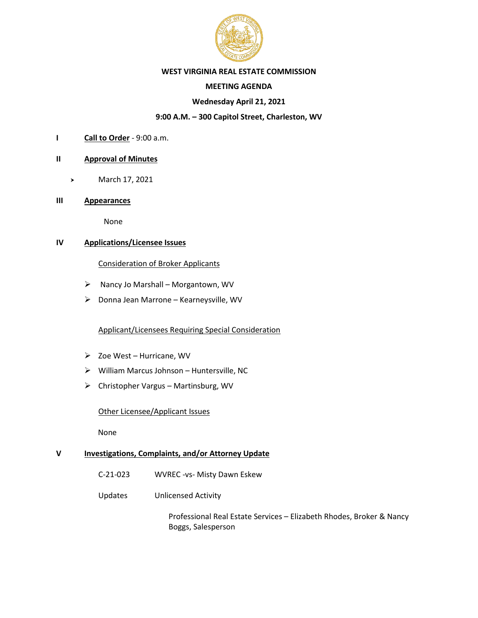

## **WEST VIRGINIA REAL ESTATE COMMISSION**

## **MEETING AGENDA**

## **Wednesday April 21, 2021**

# **9:00 A.M. – 300 Capitol Street, Charleston, WV**

**I Call to Order** - 9:00 a.m.

## **II Approval of Minutes**

- March 17, 2021
- **III Appearances**

None

# **IV Applications/Licensee Issues**

## Consideration of Broker Applicants

- ➢ Nancy Jo Marshall Morgantown, WV
- ➢ Donna Jean Marrone Kearneysville, WV

## Applicant/Licensees Requiring Special Consideration

- ➢ Zoe West Hurricane, WV
- ➢ William Marcus Johnson Huntersville, NC
- ➢ Christopher Vargus Martinsburg, WV

### Other Licensee/Applicant Issues

None

# **V Investigations, Complaints, and/or Attorney Update**

- C-21-023 WVREC -vs- Misty Dawn Eskew
- Updates Unlicensed Activity

Professional Real Estate Services – Elizabeth Rhodes, Broker & Nancy Boggs, Salesperson